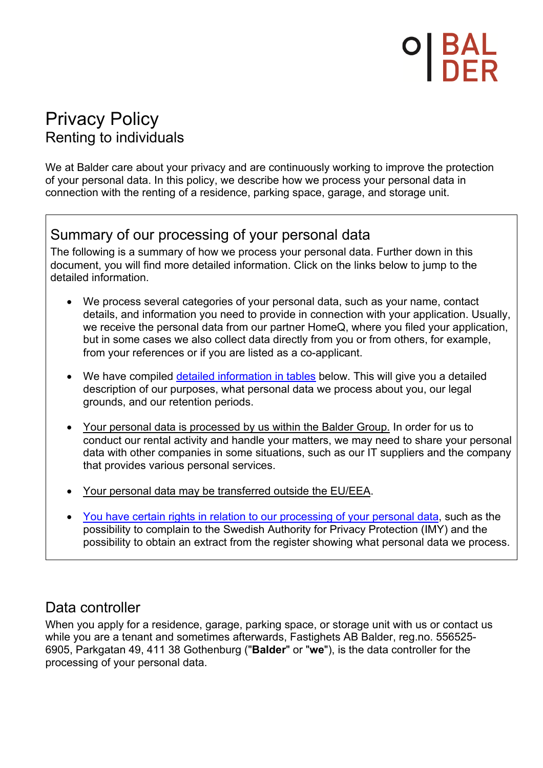# D| BAL<br>| NED

# Privacy Policy Renting to individuals

We at Balder care about your privacy and are continuously working to improve the protection of your personal data. In this policy, we describe how we process your personal data in connection with the renting of a residence, parking space, garage, and storage unit.

# Summary of our processing of your personal data

The following is a summary of how we process your personal data. Further down in this document, you will find more detailed information. Click on the links below to jump to the detailed information.

- We process several categories of your personal data, such as your name, contact details, and information you need to provide in connection with your application. Usually, we receive the personal data from our partner HomeQ, where you filed your application, but in some cases we also collect data directly from you or from others, for example, from your references or if you are listed as a co-applicant.
- We have compiled detailed information in tables below. This will give you a detailed description of our purposes, what personal data we process about you, our legal grounds, and our retention periods.
- Your personal data is processed by us within the Balder Group. In order for us to conduct our rental activity and handle your matters, we may need to share your personal data with other companies in some situations, such as our IT suppliers and the company that provides various personal services.
- Your personal data may be transferred outside the EU/EEA.
- You have certain rights in relation to our processing of your personal data, such as the possibility to complain to the Swedish Authority for Privacy Protection (IMY) and the possibility to obtain an extract from the register showing what personal data we process.

# Data controller

When you apply for a residence, garage, parking space, or storage unit with us or contact us while you are a tenant and sometimes afterwards, Fastighets AB Balder, reg.no. 556525- 6905, Parkgatan 49, 411 38 Gothenburg ("**Balder**" or "**we**"), is the data controller for the processing of your personal data.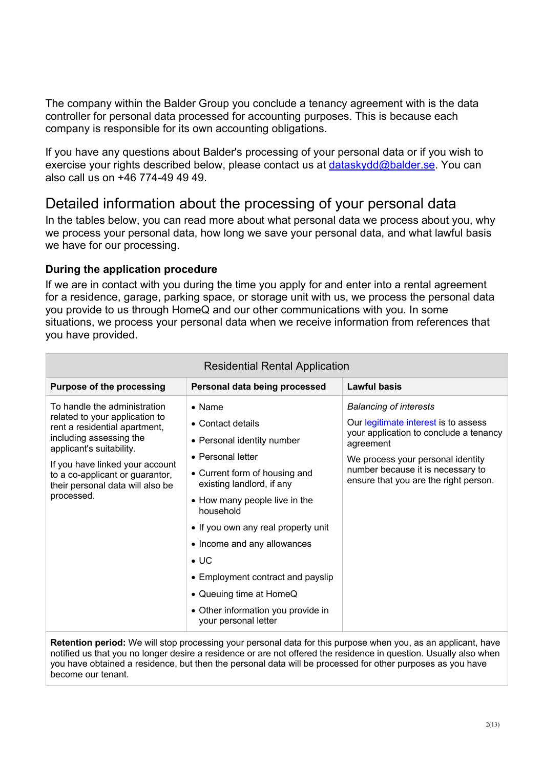The company within the Balder Group you conclude a tenancy agreement with is the data controller for personal data processed for accounting purposes. This is because each company is responsible for its own accounting obligations.

If you have any questions about Balder's processing of your personal data or if you wish to exercise your rights described below, please contact us at dataskydd@balder.se. You can also call us on +46 774-49 49 49.

## Detailed information about the processing of your personal data

In the tables below, you can read more about what personal data we process about you, why we process your personal data, how long we save your personal data, and what lawful basis we have for our processing.

#### **During the application procedure**

If we are in contact with you during the time you apply for and enter into a rental agreement for a residence, garage, parking space, or storage unit with us, we process the personal data you provide to us through HomeQ and our other communications with you. In some situations, we process your personal data when we receive information from references that you have provided.

| <b>Residential Rental Application</b>                                                                                                                                                                                                                                          |                                                                                                                                                                                                                                                                                                                                                                                                                        |                                                                                                                                                                                                                                                 |
|--------------------------------------------------------------------------------------------------------------------------------------------------------------------------------------------------------------------------------------------------------------------------------|------------------------------------------------------------------------------------------------------------------------------------------------------------------------------------------------------------------------------------------------------------------------------------------------------------------------------------------------------------------------------------------------------------------------|-------------------------------------------------------------------------------------------------------------------------------------------------------------------------------------------------------------------------------------------------|
| <b>Purpose of the processing</b>                                                                                                                                                                                                                                               | Personal data being processed                                                                                                                                                                                                                                                                                                                                                                                          | <b>Lawful basis</b>                                                                                                                                                                                                                             |
| To handle the administration<br>related to your application to<br>rent a residential apartment,<br>including assessing the<br>applicant's suitability.<br>If you have linked your account<br>to a co-applicant or guarantor,<br>their personal data will also be<br>processed. | $\bullet$ Name<br>• Contact details<br>• Personal identity number<br>• Personal letter<br>• Current form of housing and<br>existing landlord, if any<br>• How many people live in the<br>household<br>• If you own any real property unit<br>• Income and any allowances<br>$\bullet$ UC<br>• Employment contract and payslip<br>• Queuing time at HomeQ<br>• Other information you provide in<br>your personal letter | <b>Balancing of interests</b><br>Our legitimate interest is to assess<br>your application to conclude a tenancy<br>agreement<br>We process your personal identity<br>number because it is necessary to<br>ensure that you are the right person. |

#### Residential Rental Application

**Retention period:** We will stop processing your personal data for this purpose when you, as an applicant, have notified us that you no longer desire a residence or are not offered the residence in question. Usually also when you have obtained a residence, but then the personal data will be processed for other purposes as you have become our tenant.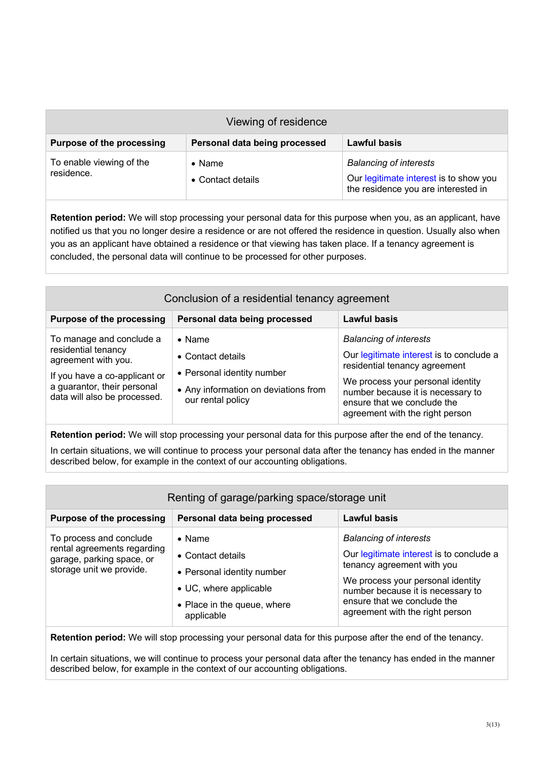| Viewing of residence                   |                                     |                                                                                                                |
|----------------------------------------|-------------------------------------|----------------------------------------------------------------------------------------------------------------|
| <b>Purpose of the processing</b>       | Personal data being processed       | <b>Lawful basis</b>                                                                                            |
| To enable viewing of the<br>residence. | $\bullet$ Name<br>• Contact details | <b>Balancing of interests</b><br>Our legitimate interest is to show you<br>the residence you are interested in |

**Retention period:** We will stop processing your personal data for this purpose when you, as an applicant, have notified us that you no longer desire a residence or are not offered the residence in question. Usually also when you as an applicant have obtained a residence or that viewing has taken place. If a tenancy agreement is concluded, the personal data will continue to be processed for other purposes.

| Conclusion of a residential tenancy agreement                                                                                                                          |                                                                                                                                |                                                                                                                                                                                                                                                        |
|------------------------------------------------------------------------------------------------------------------------------------------------------------------------|--------------------------------------------------------------------------------------------------------------------------------|--------------------------------------------------------------------------------------------------------------------------------------------------------------------------------------------------------------------------------------------------------|
| <b>Purpose of the processing</b>                                                                                                                                       | Personal data being processed                                                                                                  | <b>Lawful basis</b>                                                                                                                                                                                                                                    |
| To manage and conclude a<br>residential tenancy<br>agreement with you.<br>If you have a co-applicant or<br>a guarantor, their personal<br>data will also be processed. | $\bullet$ Name<br>• Contact details<br>• Personal identity number<br>• Any information on deviations from<br>our rental policy | <b>Balancing of interests</b><br>Our legitimate interest is to conclude a<br>residential tenancy agreement<br>We process your personal identity<br>number because it is necessary to<br>ensure that we conclude the<br>agreement with the right person |

**Retention period:** We will stop processing your personal data for this purpose after the end of the tenancy.

In certain situations, we will continue to process your personal data after the tenancy has ended in the manner described below, for example in the context of our accounting obligations.

| Renting of garage/parking space/storage unit                                                                    |                                                                                                                                                  |                                                                                                                                                                                                                                                     |
|-----------------------------------------------------------------------------------------------------------------|--------------------------------------------------------------------------------------------------------------------------------------------------|-----------------------------------------------------------------------------------------------------------------------------------------------------------------------------------------------------------------------------------------------------|
| <b>Purpose of the processing</b>                                                                                | Personal data being processed                                                                                                                    | <b>Lawful basis</b>                                                                                                                                                                                                                                 |
| To process and conclude<br>rental agreements regarding<br>garage, parking space, or<br>storage unit we provide. | $\bullet$ Name<br>$\bullet$ Contact details<br>• Personal identity number<br>• UC, where applicable<br>• Place in the queue, where<br>applicable | <b>Balancing of interests</b><br>Our legitimate interest is to conclude a<br>tenancy agreement with you<br>We process your personal identity<br>number because it is necessary to<br>ensure that we conclude the<br>agreement with the right person |

**Retention period:** We will stop processing your personal data for this purpose after the end of the tenancy.

In certain situations, we will continue to process your personal data after the tenancy has ended in the manner described below, for example in the context of our accounting obligations.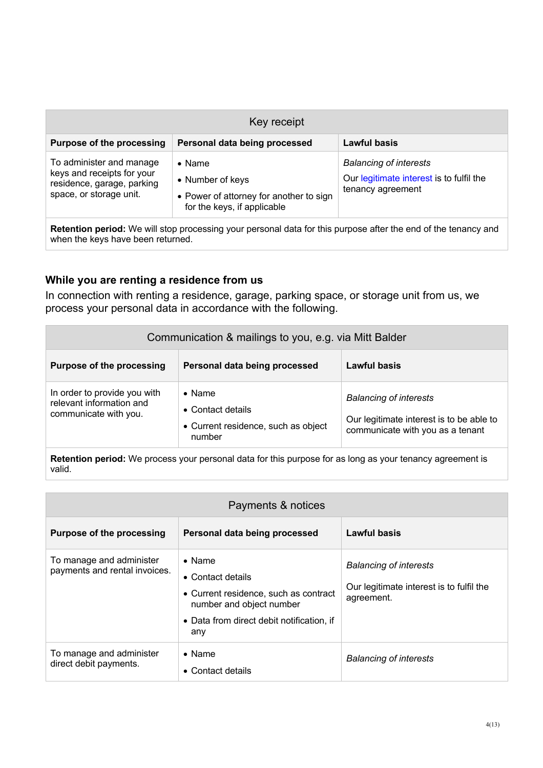| Key receipt                                                                                                     |                                                                                                              |                                                                                                |
|-----------------------------------------------------------------------------------------------------------------|--------------------------------------------------------------------------------------------------------------|------------------------------------------------------------------------------------------------|
| <b>Purpose of the processing</b>                                                                                | Personal data being processed                                                                                | <b>Lawful basis</b>                                                                            |
| To administer and manage<br>keys and receipts for your<br>residence, garage, parking<br>space, or storage unit. | $\bullet$ Name<br>• Number of keys<br>• Power of attorney for another to sign<br>for the keys, if applicable | <b>Balancing of interests</b><br>Our legitimate interest is to fulfil the<br>tenancy agreement |

**Retention period:** We will stop processing your personal data for this purpose after the end of the tenancy and when the keys have been returned.

#### **While you are renting a residence from us**

In connection with renting a residence, garage, parking space, or storage unit from us, we process your personal data in accordance with the following.

| Communication & mailings to you, e.g. via Mitt Balder                             |                                                                                      |                                                                                                               |
|-----------------------------------------------------------------------------------|--------------------------------------------------------------------------------------|---------------------------------------------------------------------------------------------------------------|
| <b>Purpose of the processing</b>                                                  | Personal data being processed                                                        | Lawful basis                                                                                                  |
| In order to provide you with<br>relevant information and<br>communicate with you. | $\bullet$ Name<br>• Contact details<br>• Current residence, such as object<br>number | <b>Balancing of interests</b><br>Our legitimate interest is to be able to<br>communicate with you as a tenant |

**Retention period:** We process your personal data for this purpose for as long as your tenancy agreement is valid.

| Payments & notices                                        |                                                                                                                                                              |                                                                                         |
|-----------------------------------------------------------|--------------------------------------------------------------------------------------------------------------------------------------------------------------|-----------------------------------------------------------------------------------------|
| <b>Purpose of the processing</b>                          | Personal data being processed                                                                                                                                | Lawful basis                                                                            |
| To manage and administer<br>payments and rental invoices. | $\bullet$ Name<br>• Contact details<br>• Current residence, such as contract<br>number and object number<br>• Data from direct debit notification, if<br>any | <b>Balancing of interests</b><br>Our legitimate interest is to fulfil the<br>agreement. |
| To manage and administer<br>direct debit payments.        | $\bullet$ Name<br>• Contact details                                                                                                                          | <b>Balancing of interests</b>                                                           |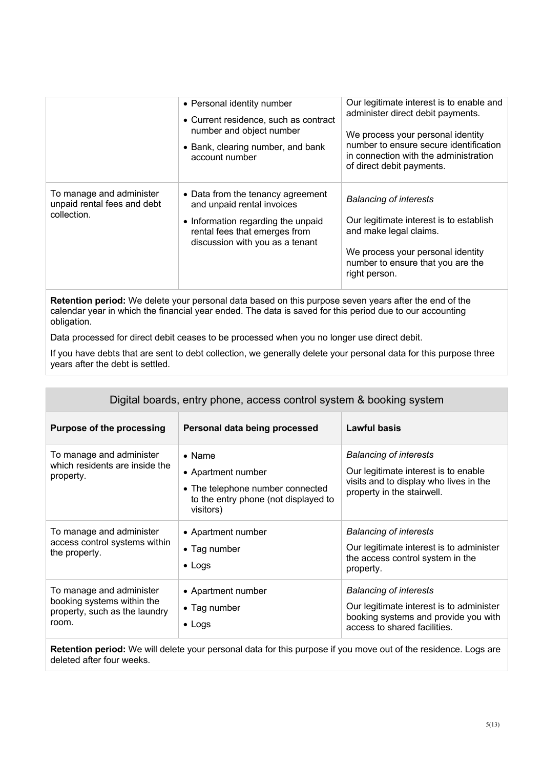|                                                                        | • Personal identity number<br>• Current residence, such as contract<br>number and object number<br>• Bank, clearing number, and bank<br>account number                    | Our legitimate interest is to enable and<br>administer direct debit payments.<br>We process your personal identity<br>number to ensure secure identification<br>in connection with the administration<br>of direct debit payments. |
|------------------------------------------------------------------------|---------------------------------------------------------------------------------------------------------------------------------------------------------------------------|------------------------------------------------------------------------------------------------------------------------------------------------------------------------------------------------------------------------------------|
| To manage and administer<br>unpaid rental fees and debt<br>collection. | • Data from the tenancy agreement<br>and unpaid rental invoices<br>• Information regarding the unpaid<br>rental fees that emerges from<br>discussion with you as a tenant | <b>Balancing of interests</b><br>Our legitimate interest is to establish<br>and make legal claims.<br>We process your personal identity<br>number to ensure that you are the<br>right person.                                      |

**Retention period:** We delete your personal data based on this purpose seven years after the end of the calendar year in which the financial year ended. The data is saved for this period due to our accounting obligation.

Data processed for direct debit ceases to be processed when you no longer use direct debit.

If you have debts that are sent to debt collection, we generally delete your personal data for this purpose three years after the debt is settled.

| Digital boards, entry phone, access control system & booking system                              |                                                                                                                               |                                                                                                                                                   |
|--------------------------------------------------------------------------------------------------|-------------------------------------------------------------------------------------------------------------------------------|---------------------------------------------------------------------------------------------------------------------------------------------------|
| <b>Purpose of the processing</b>                                                                 | Personal data being processed                                                                                                 | <b>Lawful basis</b>                                                                                                                               |
| To manage and administer<br>which residents are inside the<br>property.                          | $\bullet$ Name<br>• Apartment number<br>• The telephone number connected<br>to the entry phone (not displayed to<br>visitors) | <b>Balancing of interests</b><br>Our legitimate interest is to enable<br>visits and to display who lives in the<br>property in the stairwell.     |
| To manage and administer<br>access control systems within<br>the property.                       | • Apartment number<br>• Tag number<br>$\bullet$ Logs                                                                          | <b>Balancing of interests</b><br>Our legitimate interest is to administer<br>the access control system in the<br>property.                        |
| To manage and administer<br>booking systems within the<br>property, such as the laundry<br>room. | • Apartment number<br>$\bullet$ Tag number<br>$\bullet$ Logs                                                                  | <b>Balancing of interests</b><br>Our legitimate interest is to administer<br>booking systems and provide you with<br>access to shared facilities. |

**Retention period:** We will delete your personal data for this purpose if you move out of the residence. Logs are deleted after four weeks.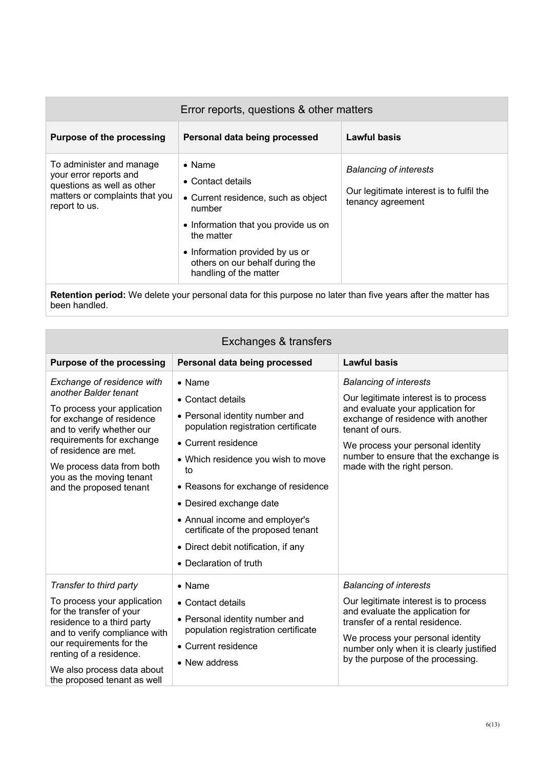| Error reports, questions & other matters                                                                                            |                                                                                                                                                                                                                                            |                                                                                                |
|-------------------------------------------------------------------------------------------------------------------------------------|--------------------------------------------------------------------------------------------------------------------------------------------------------------------------------------------------------------------------------------------|------------------------------------------------------------------------------------------------|
| <b>Purpose of the processing</b>                                                                                                    | Personal data being processed                                                                                                                                                                                                              | Lawful basis                                                                                   |
| To administer and manage<br>your error reports and<br>questions as well as other<br>matters or complaints that you<br>report to us. | $\bullet$ Name<br>• Contact details<br>• Current residence, such as object<br>number<br>• Information that you provide us on<br>the matter<br>• Information provided by us or<br>others on our behalf during the<br>handling of the matter | <b>Balancing of interests</b><br>Our legitimate interest is to fulfil the<br>tenancy agreement |

**Retention period:** We delete your personal data for this purpose no later than five years after the matter has been handled.

| Exchanges & transfers                                                                                                                                                                                                                                                                  |                                                                                                                                                                                                                                                                                                                                                                                            |                                                                                                                                                                                                                                                                                   |
|----------------------------------------------------------------------------------------------------------------------------------------------------------------------------------------------------------------------------------------------------------------------------------------|--------------------------------------------------------------------------------------------------------------------------------------------------------------------------------------------------------------------------------------------------------------------------------------------------------------------------------------------------------------------------------------------|-----------------------------------------------------------------------------------------------------------------------------------------------------------------------------------------------------------------------------------------------------------------------------------|
| <b>Purpose of the processing</b>                                                                                                                                                                                                                                                       | Personal data being processed                                                                                                                                                                                                                                                                                                                                                              | <b>Lawful basis</b>                                                                                                                                                                                                                                                               |
| Exchange of residence with<br>another Balder tenant<br>To process your application<br>for exchange of residence<br>and to verify whether our<br>requirements for exchange<br>of residence are met.<br>We process data from both<br>you as the moving tenant<br>and the proposed tenant | $\bullet$ Name<br>• Contact details<br>• Personal identity number and<br>population registration certificate<br>• Current residence<br>• Which residence you wish to move<br>to<br>• Reasons for exchange of residence<br>• Desired exchange date<br>• Annual income and employer's<br>certificate of the proposed tenant<br>• Direct debit notification, if any<br>• Declaration of truth | <b>Balancing of interests</b><br>Our legitimate interest is to process<br>and evaluate your application for<br>exchange of residence with another<br>tenant of ours.<br>We process your personal identity<br>number to ensure that the exchange is<br>made with the right person. |
| Transfer to third party<br>To process your application<br>for the transfer of your<br>residence to a third party<br>and to verify compliance with<br>our requirements for the<br>renting of a residence.<br>We also process data about<br>the proposed tenant as well                  | $\bullet$ Name<br>• Contact details<br>• Personal identity number and<br>population registration certificate<br>• Current residence<br>• New address                                                                                                                                                                                                                                       | <b>Balancing of interests</b><br>Our legitimate interest is to process<br>and evaluate the application for<br>transfer of a rental residence.<br>We process your personal identity<br>number only when it is clearly justified<br>by the purpose of the processing.               |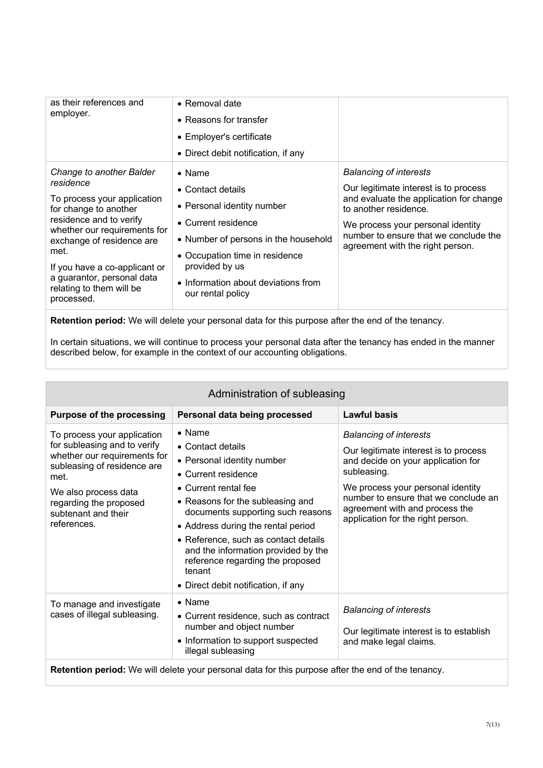| as their references and<br>employer.                                                                                                                                                                                                                                                                   | • Removal date<br>• Reasons for transfer<br>• Employer's certificate<br>• Direct debit notification, if any                                                                                                                                      |                                                                                                                                                                                                                                                              |
|--------------------------------------------------------------------------------------------------------------------------------------------------------------------------------------------------------------------------------------------------------------------------------------------------------|--------------------------------------------------------------------------------------------------------------------------------------------------------------------------------------------------------------------------------------------------|--------------------------------------------------------------------------------------------------------------------------------------------------------------------------------------------------------------------------------------------------------------|
| Change to another Balder<br>residence<br>To process your application<br>for change to another<br>residence and to verify<br>whether our requirements for<br>exchange of residence are<br>met.<br>If you have a co-applicant or<br>a guarantor, personal data<br>relating to them will be<br>processed. | $\bullet$ Name<br>• Contact details<br>• Personal identity number<br>• Current residence<br>• Number of persons in the household<br>• Occupation time in residence<br>provided by us<br>• Information about deviations from<br>our rental policy | <b>Balancing of interests</b><br>Our legitimate interest is to process<br>and evaluate the application for change<br>to another residence.<br>We process your personal identity<br>number to ensure that we conclude the<br>agreement with the right person. |

**Retention period:** We will delete your personal data for this purpose after the end of the tenancy.

In certain situations, we will continue to process your personal data after the tenancy has ended in the manner described below, for example in the context of our accounting obligations.

| Administration of subleasing                                                                                                                                                                                               |                                                                                                                                                                                                                                                                                                                                                                                                     |                                                                                                                                                                                                                                                                                 |
|----------------------------------------------------------------------------------------------------------------------------------------------------------------------------------------------------------------------------|-----------------------------------------------------------------------------------------------------------------------------------------------------------------------------------------------------------------------------------------------------------------------------------------------------------------------------------------------------------------------------------------------------|---------------------------------------------------------------------------------------------------------------------------------------------------------------------------------------------------------------------------------------------------------------------------------|
| <b>Purpose of the processing</b>                                                                                                                                                                                           | Personal data being processed                                                                                                                                                                                                                                                                                                                                                                       | Lawful basis                                                                                                                                                                                                                                                                    |
| To process your application<br>for subleasing and to verify<br>whether our requirements for<br>subleasing of residence are<br>met.<br>We also process data<br>regarding the proposed<br>subtenant and their<br>references. | $\bullet$ Name<br>• Contact details<br>• Personal identity number<br>• Current residence<br>• Current rental fee<br>• Reasons for the subleasing and<br>documents supporting such reasons<br>• Address during the rental period<br>• Reference, such as contact details<br>and the information provided by the<br>reference regarding the proposed<br>tenant<br>• Direct debit notification, if any | <b>Balancing of interests</b><br>Our legitimate interest is to process<br>and decide on your application for<br>subleasing.<br>We process your personal identity<br>number to ensure that we conclude an<br>agreement with and process the<br>application for the right person. |
| To manage and investigate<br>cases of illegal subleasing.                                                                                                                                                                  | $\bullet$ Name<br>• Current residence, such as contract<br>number and object number<br>• Information to support suspected<br>illegal subleasing                                                                                                                                                                                                                                                     | <b>Balancing of interests</b><br>Our legitimate interest is to establish<br>and make legal claims.                                                                                                                                                                              |
| Retention period: We will delete your personal data for this purpose after the end of the tenancy.                                                                                                                         |                                                                                                                                                                                                                                                                                                                                                                                                     |                                                                                                                                                                                                                                                                                 |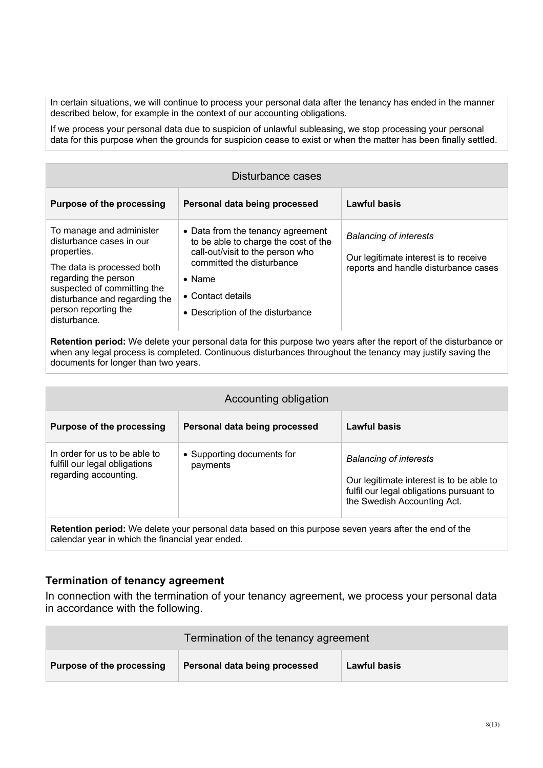In certain situations, we will continue to process your personal data after the tenancy has ended in the manner described below, for example in the context of our accounting obligations.

If we process your personal data due to suspicion of unlawful subleasing, we stop processing your personal data for this purpose when the grounds for suspicion cease to exist or when the matter has been finally settled.

| Disturbance cases                                                                                                                                                                                                                 |                                                                                                                                                                                                                       |                                                                                                                |
|-----------------------------------------------------------------------------------------------------------------------------------------------------------------------------------------------------------------------------------|-----------------------------------------------------------------------------------------------------------------------------------------------------------------------------------------------------------------------|----------------------------------------------------------------------------------------------------------------|
| <b>Purpose of the processing</b>                                                                                                                                                                                                  | Personal data being processed                                                                                                                                                                                         | Lawful basis                                                                                                   |
| To manage and administer<br>disturbance cases in our<br>properties.<br>The data is processed both<br>regarding the person<br>suspected of committing the<br>disturbance and regarding the<br>person reporting the<br>disturbance. | • Data from the tenancy agreement<br>to be able to charge the cost of the<br>call-out/visit to the person who<br>committed the disturbance<br>$\bullet$ Name<br>• Contact details<br>• Description of the disturbance | <b>Balancing of interests</b><br>Our legitimate interest is to receive<br>reports and handle disturbance cases |

**Retention period:** We delete your personal data for this purpose two years after the report of the disturbance or when any legal process is completed. Continuous disturbances throughout the tenancy may justify saving the documents for longer than two years.

| Accounting obligation                                                                                        |                                        |                                                                                                                                                      |
|--------------------------------------------------------------------------------------------------------------|----------------------------------------|------------------------------------------------------------------------------------------------------------------------------------------------------|
| <b>Purpose of the processing</b>                                                                             | Personal data being processed          | Lawful basis                                                                                                                                         |
| In order for us to be able to<br>fulfill our legal obligations<br>regarding accounting.                      | • Supporting documents for<br>payments | <b>Balancing of interests</b><br>Our legitimate interest is to be able to<br>fulfil our legal obligations pursuant to<br>the Swedish Accounting Act. |
| <b>Retention period:</b> We delete your personal data based on this purpose seven years after the end of the |                                        |                                                                                                                                                      |

**Termination of tenancy agreement** 

calendar year in which the financial year ended.

In connection with the termination of your tenancy agreement, we process your personal data in accordance with the following.

| Termination of the tenancy agreement |                               |                     |
|--------------------------------------|-------------------------------|---------------------|
| Purpose of the processing            | Personal data being processed | <b>Lawful basis</b> |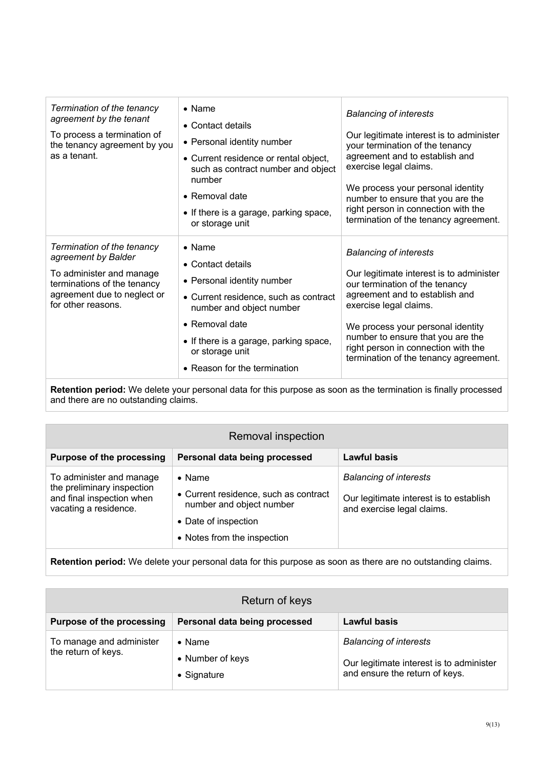| Termination of the tenancy<br>agreement by the tenant<br>To process a termination of<br>the tenancy agreement by you<br>as a tenant.                              | $\bullet$ Name<br>• Contact details<br>• Personal identity number<br>• Current residence or rental object,<br>such as contract number and object<br>number<br>$\bullet$ Removal date<br>• If there is a garage, parking space,<br>or storage unit     | <b>Balancing of interests</b><br>Our legitimate interest is to administer<br>your termination of the tenancy<br>agreement and to establish and<br>exercise legal claims.<br>We process your personal identity<br>number to ensure that you are the<br>right person in connection with the<br>termination of the tenancy agreement. |
|-------------------------------------------------------------------------------------------------------------------------------------------------------------------|-------------------------------------------------------------------------------------------------------------------------------------------------------------------------------------------------------------------------------------------------------|------------------------------------------------------------------------------------------------------------------------------------------------------------------------------------------------------------------------------------------------------------------------------------------------------------------------------------|
| Termination of the tenancy<br>agreement by Balder<br>To administer and manage<br>terminations of the tenancy<br>agreement due to neglect or<br>for other reasons. | $\bullet$ Name<br>• Contact details<br>• Personal identity number<br>• Current residence, such as contract<br>number and object number<br>• Removal date<br>• If there is a garage, parking space,<br>or storage unit<br>• Reason for the termination | <b>Balancing of interests</b><br>Our legitimate interest is to administer<br>our termination of the tenancy<br>agreement and to establish and<br>exercise legal claims.<br>We process your personal identity<br>number to ensure that you are the<br>right person in connection with the<br>termination of the tenancy agreement.  |

**Retention period:** We delete your personal data for this purpose as soon as the termination is finally processed and there are no outstanding claims.

| Removal inspection                                                                                           |                                                                                                                                            |                                                                                                        |
|--------------------------------------------------------------------------------------------------------------|--------------------------------------------------------------------------------------------------------------------------------------------|--------------------------------------------------------------------------------------------------------|
| <b>Purpose of the processing</b>                                                                             | Personal data being processed                                                                                                              | Lawful basis                                                                                           |
| To administer and manage<br>the preliminary inspection<br>and final inspection when<br>vacating a residence. | $\bullet$ Name<br>• Current residence, such as contract<br>number and object number<br>• Date of inspection<br>• Notes from the inspection | <b>Balancing of interests</b><br>Our legitimate interest is to establish<br>and exercise legal claims. |

**Retention period:** We delete your personal data for this purpose as soon as there are no outstanding claims.

| Return of keys                                  |                                                   |                                                                                                             |
|-------------------------------------------------|---------------------------------------------------|-------------------------------------------------------------------------------------------------------------|
| <b>Purpose of the processing</b>                | Personal data being processed                     | <b>Lawful basis</b>                                                                                         |
| To manage and administer<br>the return of keys. | $\bullet$ Name<br>• Number of keys<br>• Signature | <b>Balancing of interests</b><br>Our legitimate interest is to administer<br>and ensure the return of keys. |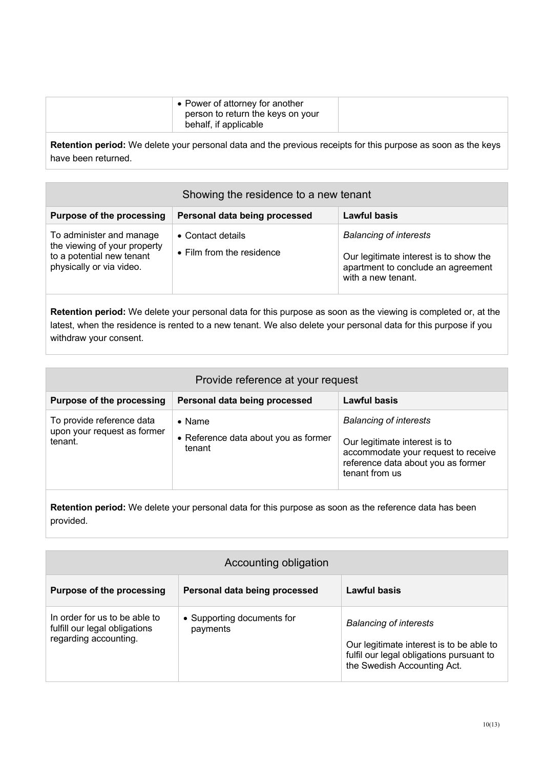**Retention period:** We delete your personal data and the previous receipts for this purpose as soon as the keys have been returned.

| Showing the residence to a new tenant                                                                             |                                                |                                                                                                                                     |
|-------------------------------------------------------------------------------------------------------------------|------------------------------------------------|-------------------------------------------------------------------------------------------------------------------------------------|
| <b>Purpose of the processing</b>                                                                                  | Personal data being processed                  | <b>Lawful basis</b>                                                                                                                 |
| To administer and manage<br>the viewing of your property<br>to a potential new tenant<br>physically or via video. | • Contact details<br>• Film from the residence | <b>Balancing of interests</b><br>Our legitimate interest is to show the<br>apartment to conclude an agreement<br>with a new tenant. |

**Retention period:** We delete your personal data for this purpose as soon as the viewing is completed or, at the latest, when the residence is rented to a new tenant. We also delete your personal data for this purpose if you withdraw your consent.

| Lawful basis<br>Personal data being processed<br><b>Purpose of the processing</b><br>To provide reference data<br><b>Balancing of interests</b><br>$\bullet$ Name<br>upon your request as former<br>• Reference data about you as former<br>tenant.<br>Our legitimate interest is to<br>tenant<br>accommodate your request to receive<br>reference data about you as former<br>tenant from us | Provide reference at your request |  |  |
|-----------------------------------------------------------------------------------------------------------------------------------------------------------------------------------------------------------------------------------------------------------------------------------------------------------------------------------------------------------------------------------------------|-----------------------------------|--|--|
|                                                                                                                                                                                                                                                                                                                                                                                               |                                   |  |  |
|                                                                                                                                                                                                                                                                                                                                                                                               |                                   |  |  |

**Retention period:** We delete your personal data for this purpose as soon as the reference data has been provided.

| Accounting obligation                                                                   |                                        |                                                                                                                                                      |
|-----------------------------------------------------------------------------------------|----------------------------------------|------------------------------------------------------------------------------------------------------------------------------------------------------|
| <b>Purpose of the processing</b>                                                        | Personal data being processed          | Lawful basis                                                                                                                                         |
| In order for us to be able to<br>fulfill our legal obligations<br>regarding accounting. | • Supporting documents for<br>payments | <b>Balancing of interests</b><br>Our legitimate interest is to be able to<br>fulfil our legal obligations pursuant to<br>the Swedish Accounting Act. |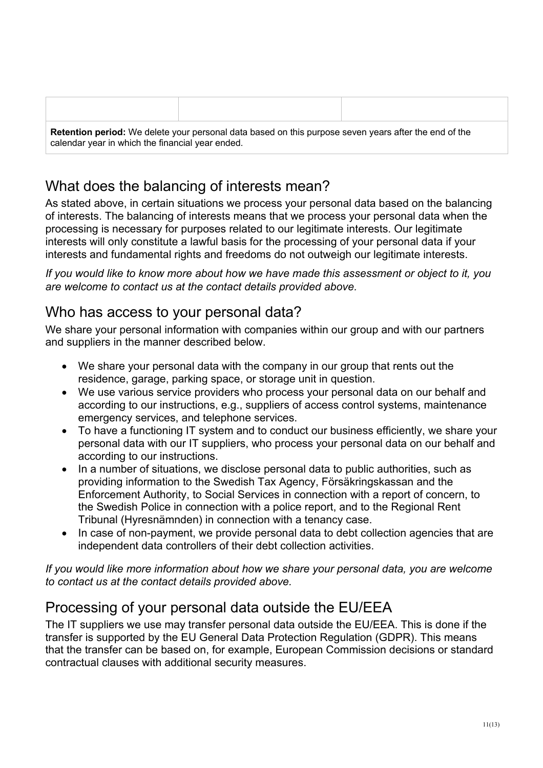| <b>Retention period:</b> We delete your personal data based on this purpose seven years after the end of the<br>calendar year in which the financial year ended. |  |  |
|------------------------------------------------------------------------------------------------------------------------------------------------------------------|--|--|

## What does the balancing of interests mean?

As stated above, in certain situations we process your personal data based on the balancing of interests. The balancing of interests means that we process your personal data when the processing is necessary for purposes related to our legitimate interests. Our legitimate interests will only constitute a lawful basis for the processing of your personal data if your interests and fundamental rights and freedoms do not outweigh our legitimate interests.

*If you would like to know more about how we have made this assessment or object to it, you are welcome to contact us at the contact details provided above.*

## Who has access to your personal data?

We share your personal information with companies within our group and with our partners and suppliers in the manner described below.

- We share your personal data with the company in our group that rents out the residence, garage, parking space, or storage unit in question.
- We use various service providers who process your personal data on our behalf and according to our instructions, e.g., suppliers of access control systems, maintenance emergency services, and telephone services.
- To have a functioning IT system and to conduct our business efficiently, we share your personal data with our IT suppliers, who process your personal data on our behalf and according to our instructions.
- In a number of situations, we disclose personal data to public authorities, such as providing information to the Swedish Tax Agency, Försäkringskassan and the Enforcement Authority, to Social Services in connection with a report of concern, to the Swedish Police in connection with a police report, and to the Regional Rent Tribunal (Hyresnämnden) in connection with a tenancy case.
- In case of non-payment, we provide personal data to debt collection agencies that are independent data controllers of their debt collection activities.

*If you would like more information about how we share your personal data, you are welcome to contact us at the contact details provided above.*

# Processing of your personal data outside the EU/EEA

The IT suppliers we use may transfer personal data outside the EU/EEA. This is done if the transfer is supported by the EU General Data Protection Regulation (GDPR). This means that the transfer can be based on, for example, European Commission decisions or standard contractual clauses with additional security measures.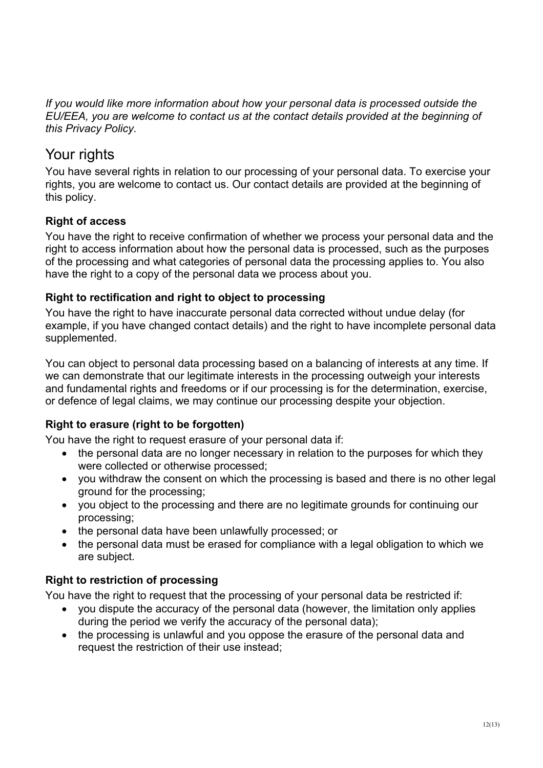*If you would like more information about how your personal data is processed outside the EU/EEA, you are welcome to contact us at the contact details provided at the beginning of this Privacy Policy.*

## Your rights

You have several rights in relation to our processing of your personal data. To exercise your rights, you are welcome to contact us. Our contact details are provided at the beginning of this policy.

## **Right of access**

You have the right to receive confirmation of whether we process your personal data and the right to access information about how the personal data is processed, such as the purposes of the processing and what categories of personal data the processing applies to. You also have the right to a copy of the personal data we process about you.

### **Right to rectification and right to object to processing**

You have the right to have inaccurate personal data corrected without undue delay (for example, if you have changed contact details) and the right to have incomplete personal data supplemented.

You can object to personal data processing based on a balancing of interests at any time. If we can demonstrate that our legitimate interests in the processing outweigh your interests and fundamental rights and freedoms or if our processing is for the determination, exercise, or defence of legal claims, we may continue our processing despite your objection.

### **Right to erasure (right to be forgotten)**

You have the right to request erasure of your personal data if:

- the personal data are no longer necessary in relation to the purposes for which they were collected or otherwise processed;
- you withdraw the consent on which the processing is based and there is no other legal ground for the processing;
- you object to the processing and there are no legitimate grounds for continuing our processing;
- the personal data have been unlawfully processed; or
- the personal data must be erased for compliance with a legal obligation to which we are subject.

### **Right to restriction of processing**

You have the right to request that the processing of your personal data be restricted if:

- you dispute the accuracy of the personal data (however, the limitation only applies during the period we verify the accuracy of the personal data);
- the processing is unlawful and you oppose the erasure of the personal data and request the restriction of their use instead;